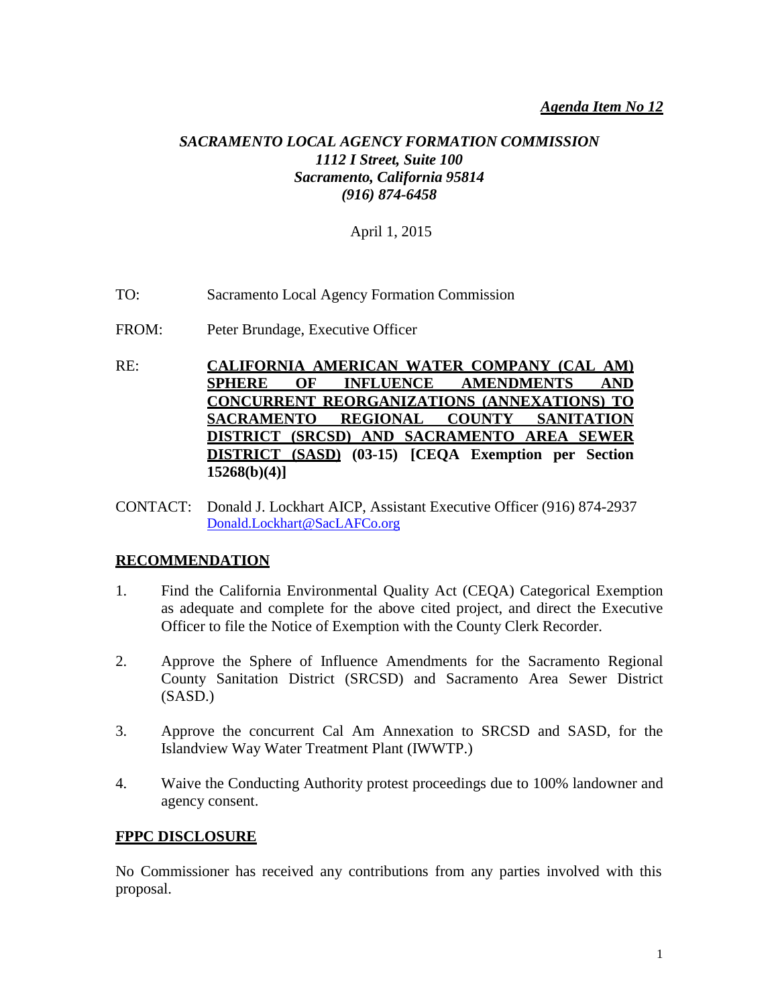### *SACRAMENTO LOCAL AGENCY FORMATION COMMISSION 1112 I Street, Suite 100 Sacramento, California 95814 (916) 874-6458*

April 1, 2015

- TO: Sacramento Local Agency Formation Commission
- FROM: Peter Brundage, Executive Officer
- RE: **CALIFORNIA AMERICAN WATER COMPANY (CAL AM) SPHERE OF INFLUENCE AMENDMENTS AND CONCURRENT REORGANIZATIONS (ANNEXATIONS) TO SACRAMENTO REGIONAL COUNTY SANITATION DISTRICT (SRCSD) AND SACRAMENTO AREA SEWER DISTRICT (SASD) (03-15) [CEQA Exemption per Section 15268(b)(4)]**
- CONTACT: Donald J. Lockhart AICP, Assistant Executive Officer (916) 874-2937 [Donald.Lockhart@SacLAFCo.org](mailto:Donald.Lockhart@SacLAFCo.org)

### **RECOMMENDATION**

- 1. Find the California Environmental Quality Act (CEQA) Categorical Exemption as adequate and complete for the above cited project, and direct the Executive Officer to file the Notice of Exemption with the County Clerk Recorder.
- 2. Approve the Sphere of Influence Amendments for the Sacramento Regional County Sanitation District (SRCSD) and Sacramento Area Sewer District (SASD.)
- 3. Approve the concurrent Cal Am Annexation to SRCSD and SASD, for the Islandview Way Water Treatment Plant (IWWTP.)
- 4. Waive the Conducting Authority protest proceedings due to 100% landowner and agency consent.

#### **FPPC DISCLOSURE**

No Commissioner has received any contributions from any parties involved with this proposal.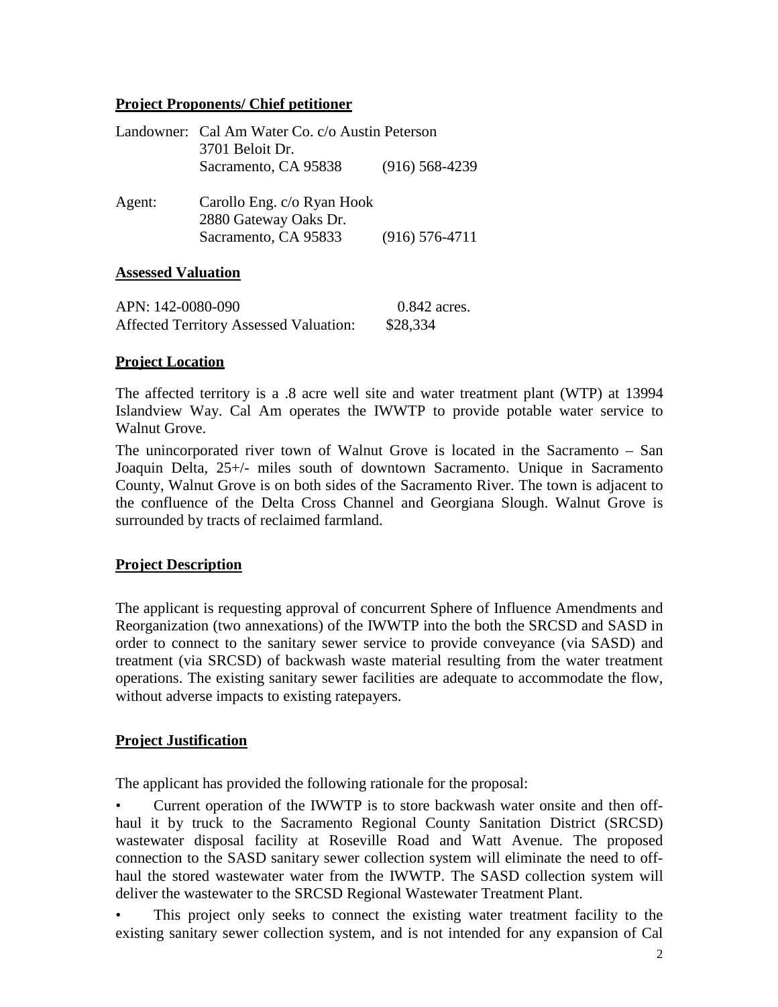#### **Project Proponents/ Chief petitioner**

|        | Landowner: Cal Am Water Co. c/o Austin Peterson<br>3701 Beloit Dr.          |                    |
|--------|-----------------------------------------------------------------------------|--------------------|
|        | Sacramento, CA 95838                                                        | $(916)$ 568-4239   |
| Agent: | Carollo Eng. c/o Ryan Hook<br>2880 Gateway Oaks Dr.<br>Sacramento, CA 95833 | $(916) 576 - 4711$ |

#### **Assessed Valuation**

| APN: 142-0080-090                             | $0.842$ acres. |
|-----------------------------------------------|----------------|
| <b>Affected Territory Assessed Valuation:</b> | \$28,334       |

#### **Project Location**

The affected territory is a .8 acre well site and water treatment plant (WTP) at 13994 Islandview Way. Cal Am operates the IWWTP to provide potable water service to Walnut Grove.

The unincorporated river town of Walnut Grove is located in the Sacramento – San Joaquin Delta, 25+/- miles south of downtown Sacramento. Unique in Sacramento County, Walnut Grove is on both sides of the Sacramento River. The town is adjacent to the confluence of the Delta Cross Channel and Georgiana Slough. Walnut Grove is surrounded by tracts of reclaimed farmland.

#### **Project Description**

The applicant is requesting approval of concurrent Sphere of Influence Amendments and Reorganization (two annexations) of the IWWTP into the both the SRCSD and SASD in order to connect to the sanitary sewer service to provide conveyance (via SASD) and treatment (via SRCSD) of backwash waste material resulting from the water treatment operations. The existing sanitary sewer facilities are adequate to accommodate the flow, without adverse impacts to existing ratepayers.

#### **Project Justification**

The applicant has provided the following rationale for the proposal:

• Current operation of the IWWTP is to store backwash water onsite and then offhaul it by truck to the Sacramento Regional County Sanitation District (SRCSD) wastewater disposal facility at Roseville Road and Watt Avenue. The proposed connection to the SASD sanitary sewer collection system will eliminate the need to offhaul the stored wastewater water from the IWWTP. The SASD collection system will deliver the wastewater to the SRCSD Regional Wastewater Treatment Plant.

This project only seeks to connect the existing water treatment facility to the existing sanitary sewer collection system, and is not intended for any expansion of Cal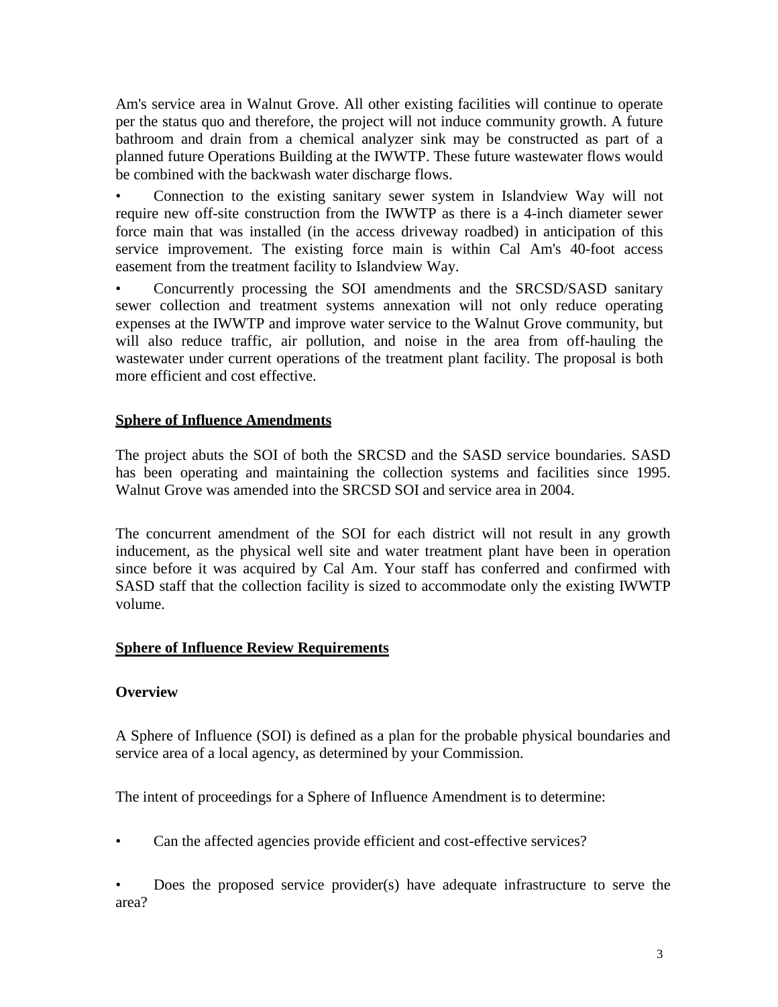Am's service area in Walnut Grove. All other existing facilities will continue to operate per the status quo and therefore, the project will not induce community growth. A future bathroom and drain from a chemical analyzer sink may be constructed as part of a planned future Operations Building at the IWWTP. These future wastewater flows would be combined with the backwash water discharge flows.

• Connection to the existing sanitary sewer system in Islandview Way will not require new off-site construction from the IWWTP as there is a 4-inch diameter sewer force main that was installed (in the access driveway roadbed) in anticipation of this service improvement. The existing force main is within Cal Am's 40-foot access easement from the treatment facility to Islandview Way.

• Concurrently processing the SOI amendments and the SRCSD/SASD sanitary sewer collection and treatment systems annexation will not only reduce operating expenses at the IWWTP and improve water service to the Walnut Grove community, but will also reduce traffic, air pollution, and noise in the area from off-hauling the wastewater under current operations of the treatment plant facility. The proposal is both more efficient and cost effective.

#### **Sphere of Influence Amendments**

The project abuts the SOI of both the SRCSD and the SASD service boundaries. SASD has been operating and maintaining the collection systems and facilities since 1995. Walnut Grove was amended into the SRCSD SOI and service area in 2004.

The concurrent amendment of the SOI for each district will not result in any growth inducement, as the physical well site and water treatment plant have been in operation since before it was acquired by Cal Am. Your staff has conferred and confirmed with SASD staff that the collection facility is sized to accommodate only the existing IWWTP volume.

#### **Sphere of Influence Review Requirements**

#### **Overview**

A Sphere of Influence (SOI) is defined as a plan for the probable physical boundaries and service area of a local agency, as determined by your Commission.

The intent of proceedings for a Sphere of Influence Amendment is to determine:

• Can the affected agencies provide efficient and cost-effective services?

Does the proposed service provider(s) have adequate infrastructure to serve the area?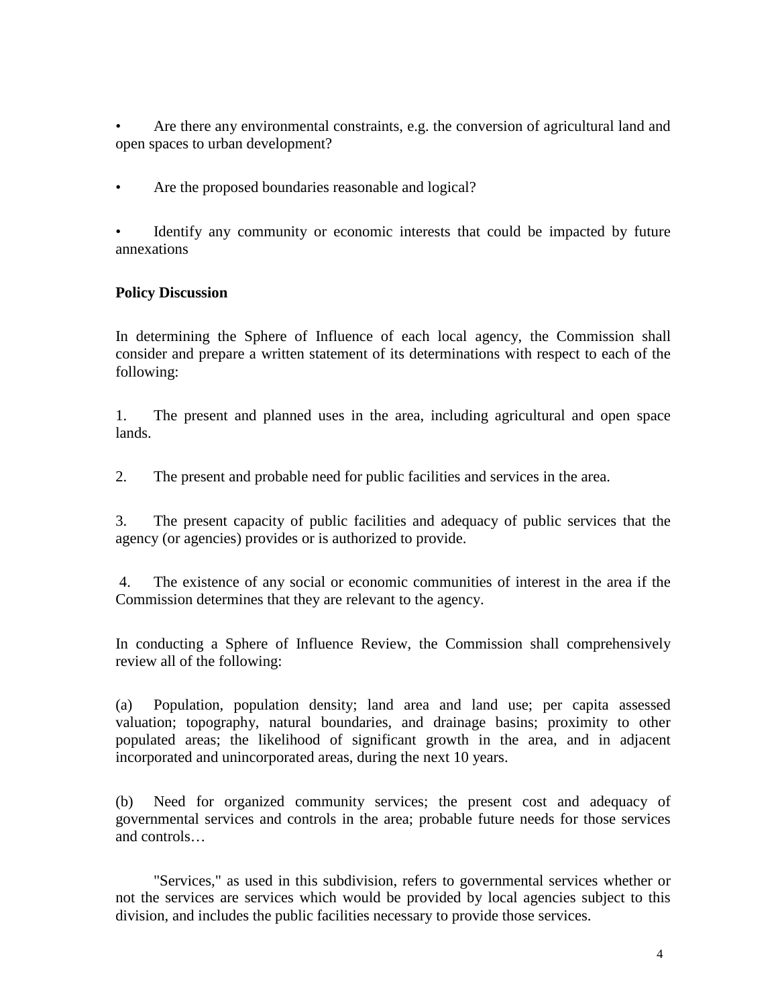• Are there any environmental constraints, e.g. the conversion of agricultural land and open spaces to urban development?

Are the proposed boundaries reasonable and logical?

• Identify any community or economic interests that could be impacted by future annexations

#### **Policy Discussion**

In determining the Sphere of Influence of each local agency, the Commission shall consider and prepare a written statement of its determinations with respect to each of the following:

1. The present and planned uses in the area, including agricultural and open space lands.

2. The present and probable need for public facilities and services in the area.

3. The present capacity of public facilities and adequacy of public services that the agency (or agencies) provides or is authorized to provide.

4. The existence of any social or economic communities of interest in the area if the Commission determines that they are relevant to the agency.

In conducting a Sphere of Influence Review, the Commission shall comprehensively review all of the following:

(a) Population, population density; land area and land use; per capita assessed valuation; topography, natural boundaries, and drainage basins; proximity to other populated areas; the likelihood of significant growth in the area, and in adjacent incorporated and unincorporated areas, during the next 10 years.

Need for organized community services; the present cost and adequacy of governmental services and controls in the area; probable future needs for those services and controls…

"Services," as used in this subdivision, refers to governmental services whether or not the services are services which would be provided by local agencies subject to this division, and includes the public facilities necessary to provide those services.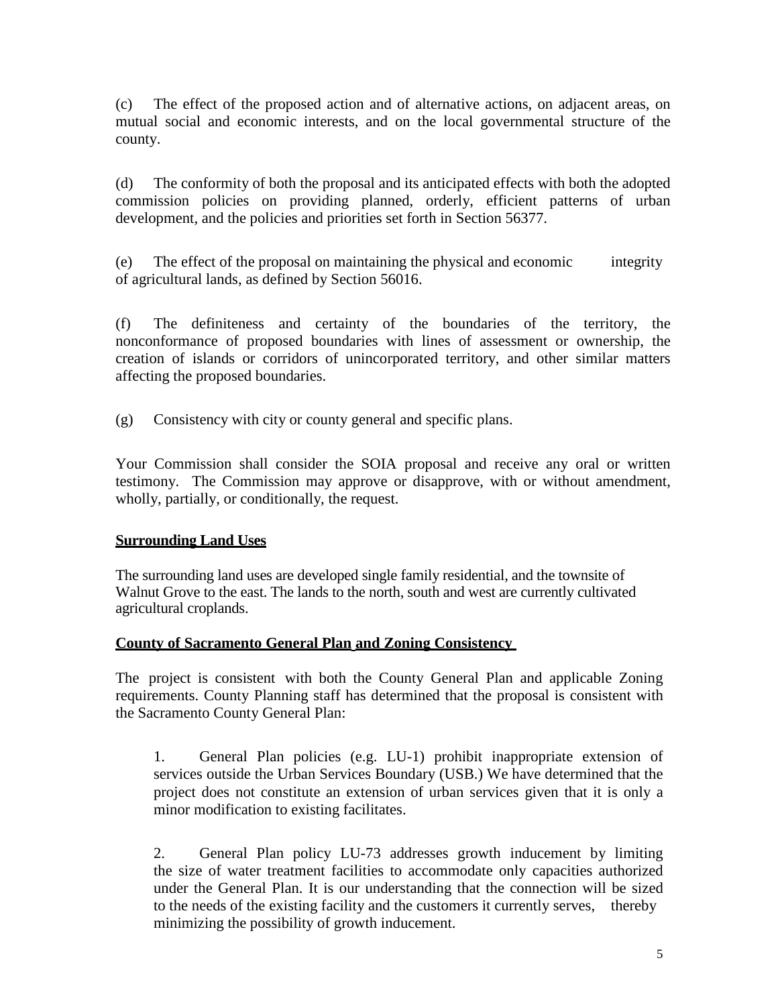(c) The effect of the proposed action and of alternative actions, on adjacent areas, on mutual social and economic interests, and on the local governmental structure of the county.

(d) The conformity of both the proposal and its anticipated effects with both the adopted commission policies on providing planned, orderly, efficient patterns of urban development, and the policies and priorities set forth in Section 56377.

(e) The effect of the proposal on maintaining the physical and economic integrity of agricultural lands, as defined by Section 56016.

(f) The definiteness and certainty of the boundaries of the territory, the nonconformance of proposed boundaries with lines of assessment or ownership, the creation of islands or corridors of unincorporated territory, and other similar matters affecting the proposed boundaries.

(g) Consistency with city or county general and specific plans.

Your Commission shall consider the SOIA proposal and receive any oral or written testimony. The Commission may approve or disapprove, with or without amendment, wholly, partially, or conditionally, the request.

#### **Surrounding Land Uses**

The surrounding land uses are developed single family residential, and the townsite of Walnut Grove to the east. The lands to the north, south and west are currently cultivated agricultural croplands.

#### **County of Sacramento General Plan and Zoning Consistency**

The project is consistent with both the County General Plan and applicable Zoning requirements. County Planning staff has determined that the proposal is consistent with the Sacramento County General Plan:

1. General Plan policies (e.g. LU-1) prohibit inappropriate extension of services outside the Urban Services Boundary (USB.) We have determined that the project does not constitute an extension of urban services given that it is only a minor modification to existing facilitates.

2. General Plan policy LU-73 addresses growth inducement by limiting the size of water treatment facilities to accommodate only capacities authorized under the General Plan. It is our understanding that the connection will be sized to the needs of the existing facility and the customers it currently serves, thereby minimizing the possibility of growth inducement.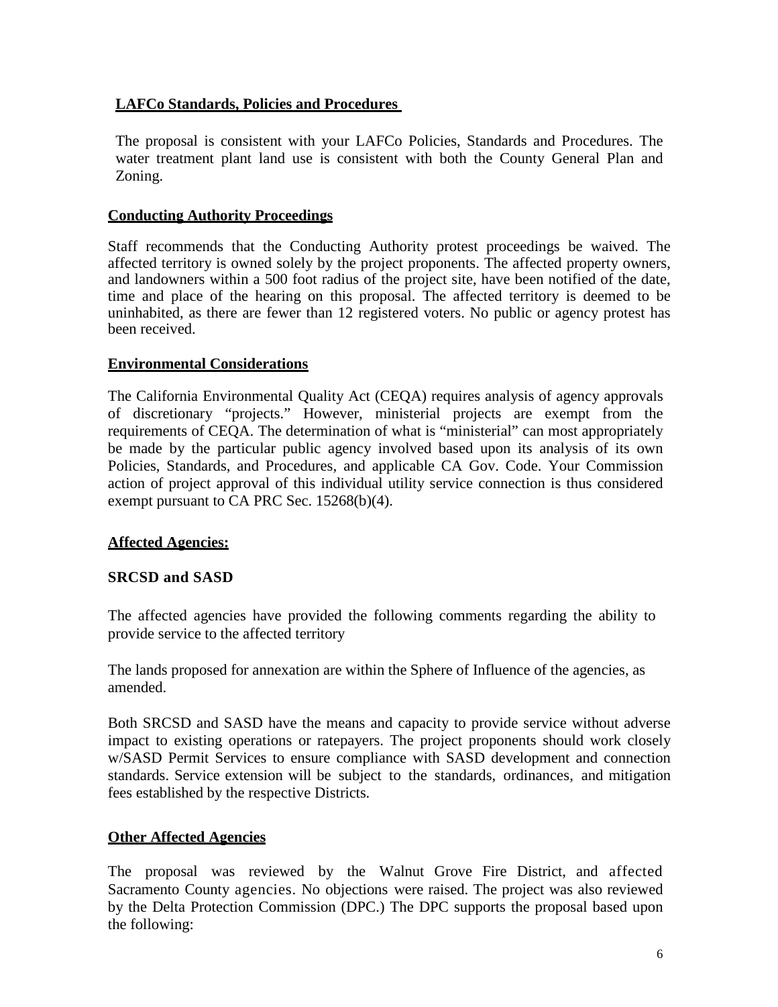#### **LAFCo Standards, Policies and Procedures**

The proposal is consistent with your LAFCo Policies, Standards and Procedures. The water treatment plant land use is consistent with both the County General Plan and Zoning.

#### **Conducting Authority Proceedings**

Staff recommends that the Conducting Authority protest proceedings be waived. The affected territory is owned solely by the project proponents. The affected property owners, and landowners within a 500 foot radius of the project site, have been notified of the date, time and place of the hearing on this proposal. The affected territory is deemed to be uninhabited, as there are fewer than 12 registered voters. No public or agency protest has been received.

#### **Environmental Considerations**

The California Environmental Quality Act (CEQA) requires analysis of agency approvals of discretionary "projects." However, ministerial projects are exempt from the requirements of CEQA. The determination of what is "ministerial" can most appropriately be made by the particular public agency involved based upon its analysis of its own Policies, Standards, and Procedures, and applicable CA Gov. Code. Your Commission action of project approval of this individual utility service connection is thus considered exempt pursuant to CA PRC Sec. 15268(b)(4).

#### **Affected Agencies:**

#### **SRCSD and SASD**

The affected agencies have provided the following comments regarding the ability to provide service to the affected territory

The lands proposed for annexation are within the Sphere of Influence of the agencies, as amended.

Both SRCSD and SASD have the means and capacity to provide service without adverse impact to existing operations or ratepayers. The project proponents should work closely w/SASD Permit Services to ensure compliance with SASD development and connection standards. Service extension will be subject to the standards, ordinances, and mitigation fees established by the respective Districts.

#### **Other Affected Agencies**

The proposal was reviewed by the Walnut Grove Fire District, and affected Sacramento County agencies. No objections were raised. The project was also reviewed by the Delta Protection Commission (DPC.) The DPC supports the proposal based upon the following: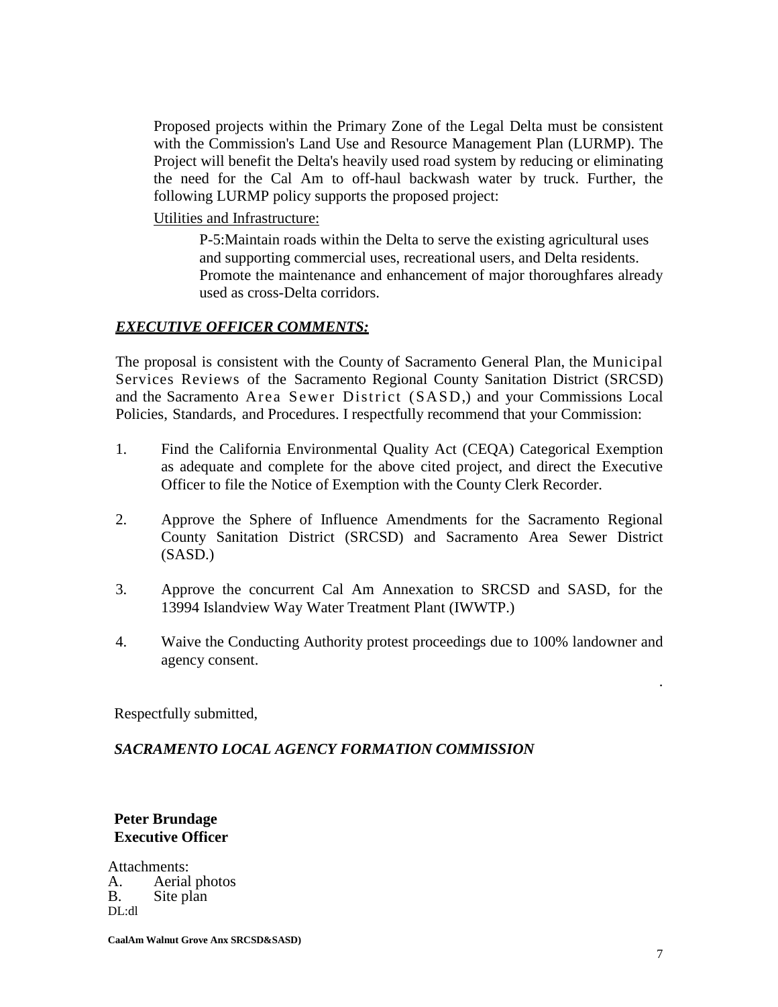Proposed projects within the Primary Zone of the Legal Delta must be consistent with the Commission's Land Use and Resource Management Plan (LURMP). The Project will benefit the Delta's heavily used road system by reducing or eliminating the need for the Cal Am to off-haul backwash water by truck. Further, the following LURMP policy supports the proposed project:

Utilities and Infrastructure:

P-5:Maintain roads within the Delta to serve the existing agricultural uses and supporting commercial uses, recreational users, and Delta residents. Promote the maintenance and enhancement of major thoroughfares already used as cross-Delta corridors.

#### *EXECUTIVE OFFICER COMMENTS:*

The proposal is consistent with the County of Sacramento General Plan, the Municipal Services Reviews of the Sacramento Regional County Sanitation District (SRCSD) and the Sacramento Area Sewer District (SASD,) and your Commissions Local Policies, Standards, and Procedures. I respectfully recommend that your Commission:

- 1. Find the California Environmental Quality Act (CEQA) Categorical Exemption as adequate and complete for the above cited project, and direct the Executive Officer to file the Notice of Exemption with the County Clerk Recorder.
- 2. Approve the Sphere of Influence Amendments for the Sacramento Regional County Sanitation District (SRCSD) and Sacramento Area Sewer District (SASD.)
- 3. Approve the concurrent Cal Am Annexation to SRCSD and SASD, for the 13994 Islandview Way Water Treatment Plant (IWWTP.)
- 4. Waive the Conducting Authority protest proceedings due to 100% landowner and agency consent.

Respectfully submitted,

#### *SACRAMENTO LOCAL AGENCY FORMATION COMMISSION*

#### **Peter Brundage Executive Officer**

Attachments:<br>A. Aerial A. Aerial photos<br>B. Site plan Site plan DL:dl

.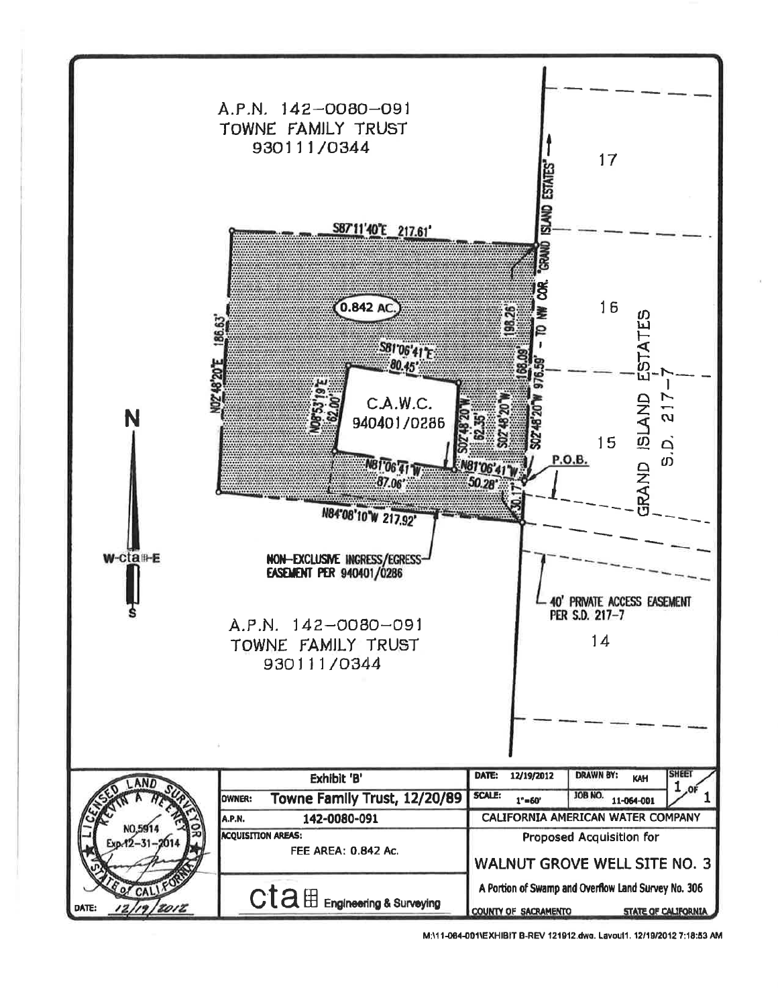

M:\11-064-001\EXHIBIT B-REV 121912.dwg. Lavoul1. 12/19/2012 7:18:53 AM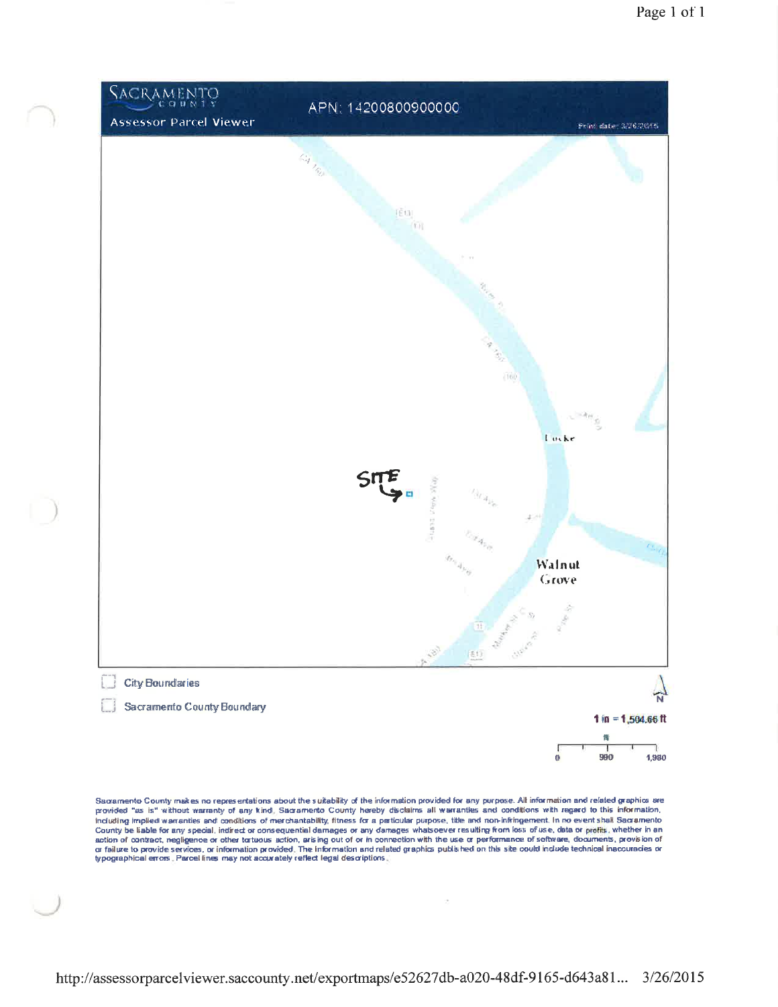

Sacramento County makes no representations about the suitability of the information provided for any purpose. All information and related graphics are<br>provided "as is" without warranty of any kind, Sacramento County hereby including implied warranties and conditions of merchantability, fitness for a perticular purpose, title and non-infringement. In no event shall Sacramento County be liable for any special, indirect or consequential damages or any damages whatsoever resulting from loss of use, data or profits, whether in an action of contract, negligence or other tortuous action, arising out of or in connection with the use or performance of software, documents, provision of or failure to provide services, or information provided. The information and related graphics published on this site could include technical inaccuracies or typographical errors. Parcel lines may not accurately reflect legal descriptions.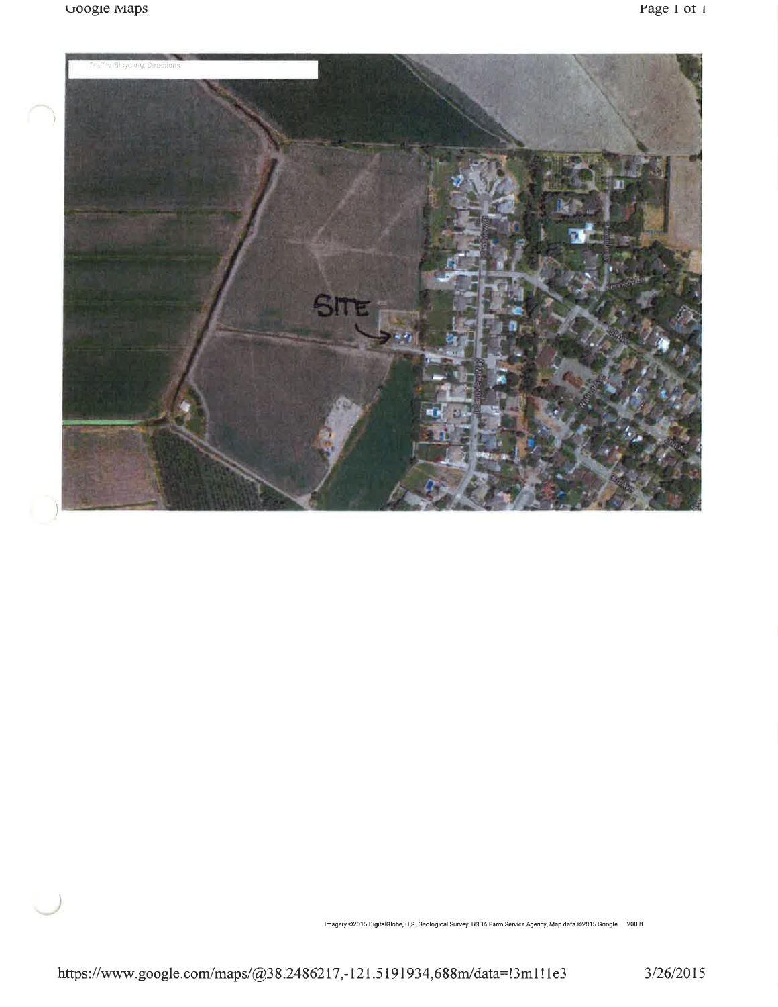

Imagery @2015 DigitalGlobe, U.S. Geological Survey, USDA Farm Service Agency, Map data @2015 Google 200 ft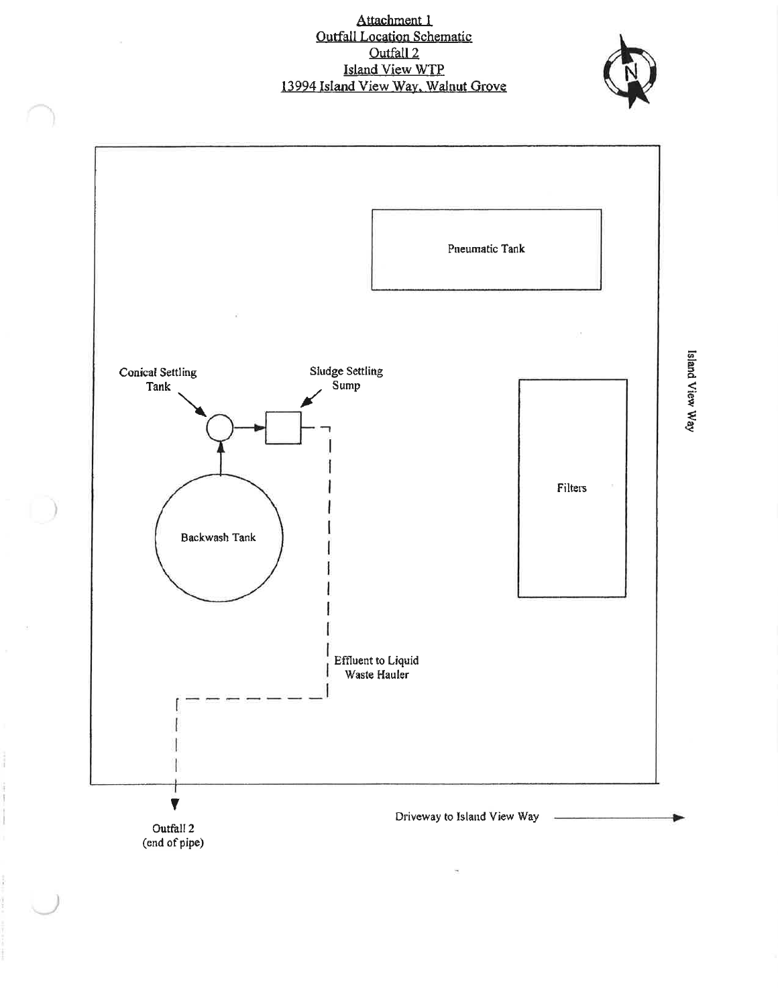## Attachment 1 **Outfall Location Schematic** Outfall 2 Island View WTP<br>13994 Island View Way, Walnut Grove





Island View Way